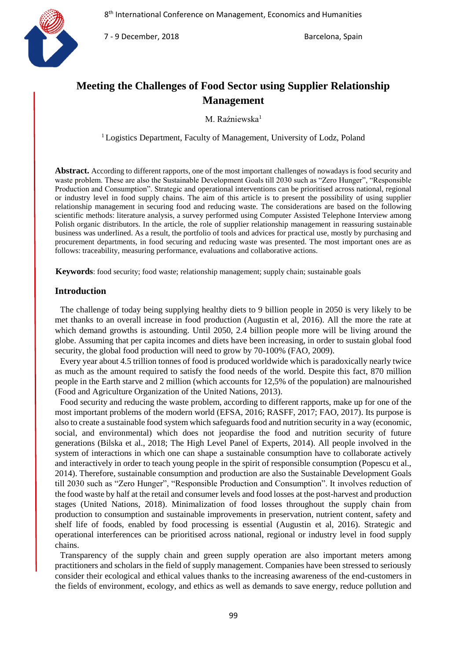

7 - 9 December, 2018 Barcelona, Spain

# **Meeting the Challenges of Food Sector using Supplier Relationship Management**

M. Raźniewska<sup>1</sup>

<sup>1</sup> Logistics Department, Faculty of Management, University of Lodz, Poland

**Abstract.** According to different rapports, one of the most important challenges of nowadays is food security and waste problem. These are also the Sustainable Development Goals till 2030 such as "Zero Hunger", "Responsible Production and Consumption". Strategic and operational interventions can be prioritised across national, regional or industry level in food supply chains. The aim of this article is to present the possibility of using supplier relationship management in securing food and reducing waste. The considerations are based on the following scientific methods: literature analysis, a survey performed using Computer Assisted Telephone Interview among Polish organic distributors. In the article, the role of supplier relationship management in reassuring sustainable business was underlined. As a result, the portfolio of tools and advices for practical use, mostly by purchasing and procurement departments, in food securing and reducing waste was presented. The most important ones are as follows: traceability, measuring performance, evaluations and collaborative actions.

**Keywords**: food security; food waste; relationship management; supply chain; sustainable goals

#### **Introduction**

The challenge of today being supplying healthy diets to 9 billion people in 2050 is very likely to be met thanks to an overall increase in food production (Augustin et al, 2016). All the more the rate at which demand growths is astounding. Until 2050, 2.4 billion people more will be living around the globe. Assuming that per capita incomes and diets have been increasing, in order to sustain global food security, the global food production will need to grow by 70-100% (FAO, 2009).

Every year about 4.5 trillion tonnes of food is produced worldwide which is paradoxically nearly twice as much as the amount required to satisfy the food needs of the world. Despite this fact, 870 million people in the Earth starve and 2 million (which accounts for 12,5% of the population) are malnourished (Food and Agriculture Organization of the United Nations, 2013).

Food security and reducing the waste problem, according to different rapports, make up for one of the most important problems of the modern world (EFSA, 2016; RASFF, 2017; FAO, 2017). Its purpose is also to create a sustainable food system which safeguards food and nutrition security in a way (economic, social, and environmental) which does not jeopardise the food and nutrition security of future generations (Bilska et al., 2018; The High Level Panel of Experts, 2014). All people involved in the system of interactions in which one can shape a sustainable consumption have to collaborate actively and interactively in order to teach young people in the spirit of responsible consumption (Popescu et al., 2014). Therefore, sustainable consumption and production are also the Sustainable Development Goals till 2030 such as "Zero Hunger", "Responsible Production and Consumption". It involves reduction of the food waste by half at the retail and consumer levels and food losses at the post-harvest and production stages (United Nations, 2018). Minimalization of food losses throughout the supply chain from production to consumption and sustainable improvements in preservation, nutrient content, safety and shelf life of foods, enabled by food processing is essential (Augustin et al, 2016). Strategic and operational interferences can be prioritised across national, regional or industry level in food supply chains.

Transparency of the supply chain and green supply operation are also important meters among practitioners and scholars in the field of supply management. Companies have been stressed to seriously consider their ecological and ethical values thanks to the increasing awareness of the end-customers in the fields of environment, ecology, and ethics as well as demands to save energy, reduce pollution and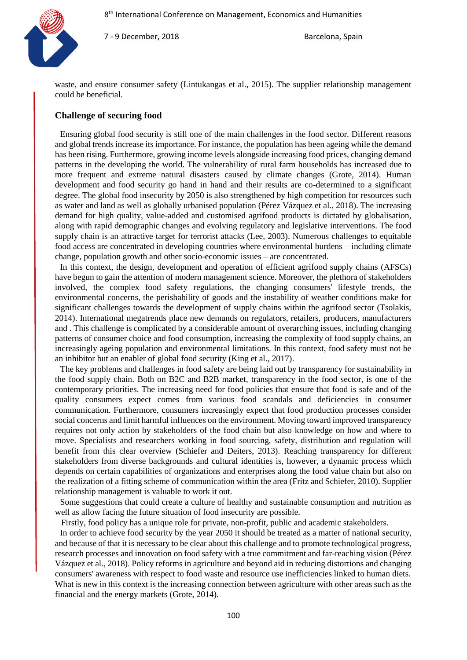

7 - 9 December, 2018 **Barcelona**, Spain

waste, and ensure consumer safety (Lintukangas et al., 2015). The supplier relationship management could be beneficial.

# **Challenge of securing food**

Ensuring global food security is still one of the main challenges in the food sector. Different reasons and global trends increase its importance. For instance, the population has been ageing while the demand has been rising. Furthermore, growing income levels alongside increasing food prices, changing demand patterns in the developing the world. The vulnerability of rural farm households has increased due to more frequent and extreme natural disasters caused by climate changes (Grote, 2014). Human development and food security go hand in hand and their results are co-determined to a significant degree. The global food insecurity by 2050 is also strengthened by high competition for resources such as water and land as well as globally urbanised population (Pérez Vázquez et al., 2018). The increasing demand for high quality, value-added and customised agrifood products is dictated by globalisation, along with rapid demographic changes and evolving regulatory and legislative interventions. The food supply chain is an attractive target for terrorist attacks (Lee, 2003). Numerous challenges to equitable food access are concentrated in developing countries where environmental burdens – including climate change, population growth and other socio-economic issues – are concentrated.

In this context, the design, development and operation of efficient agrifood supply chains (AFSCs) have begun to gain the attention of modern management science. Moreover, the plethora of stakeholders involved, the complex food safety regulations, the changing consumers' lifestyle trends, the environmental concerns, the perishability of goods and the instability of weather conditions make for significant challenges towards the development of supply chains within the agrifood sector (Tsolakis, 2014). International megatrends place new demands on regulators, retailers, producers, manufacturers and . This challenge is complicated by a considerable amount of overarching issues, including changing patterns of consumer choice and food consumption, increasing the complexity of food supply chains, an increasingly ageing population and environmental limitations. In this context, food safety must not be an inhibitor but an enabler of global food security (King et al., 2017).

The key problems and challenges in food safety are being laid out by transparency for sustainability in the food supply chain. Both on B2C and B2B market, transparency in the food sector, is one of the contemporary priorities. The increasing need for food policies that ensure that food is safe and of the quality consumers expect comes from various food scandals and deficiencies in consumer communication. Furthermore, consumers increasingly expect that food production processes consider social concerns and limit harmful influences on the environment. Moving toward improved transparency requires not only action by stakeholders of the food chain but also knowledge on how and where to move. Specialists and researchers working in food sourcing, safety, distribution and regulation will benefit from this clear overview (Schiefer and Deiters, 2013). Reaching transparency for different stakeholders from diverse backgrounds and cultural identities is, however, a dynamic process which depends on certain capabilities of organizations and enterprises along the food value chain but also on the realization of a fitting scheme of communication within the area (Fritz and Schiefer, 2010). Supplier relationship management is valuable to work it out.

Some suggestions that could create a culture of healthy and sustainable consumption and nutrition as well as allow facing the future situation of food insecurity are possible.

Firstly, food policy has a unique role for private, non-profit, public and academic stakeholders.

In order to achieve food security by the year 2050 it should be treated as a matter of national security, and because of that it is necessary to be clear about this challenge and to promote technological progress, research processes and innovation on food safety with a true commitment and far-reaching vision (Pérez Vázquez et al., 2018). Policy reforms in agriculture and beyond aid in reducing distortions and changing consumers' awareness with respect to food waste and resource use inefficiencies linked to human diets. What is new in this context is the increasing connection between agriculture with other areas such as the financial and the energy markets (Grote, 2014).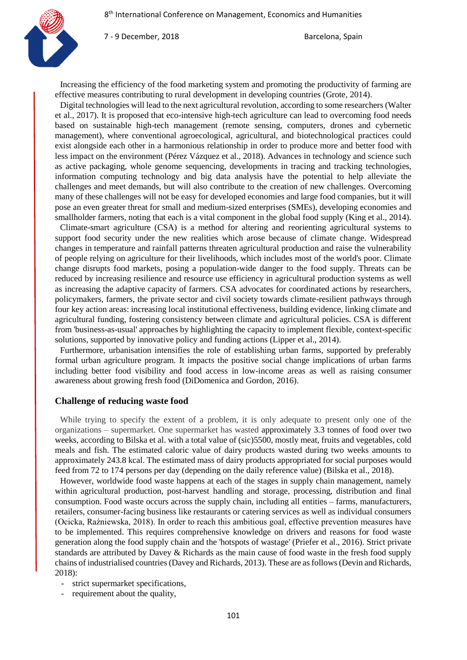

Increasing the efficiency of the food marketing system and promoting the productivity of farming are effective measures contributing to rural development in developing countries (Grote, 2014).

Digital technologies will lead to the next agricultural revolution, according to some researchers (Walter et al., 2017). It is proposed that eco-intensive high-tech agriculture can lead to overcoming food needs based on sustainable high-tech management (remote sensing, computers, drones and cybernetic management), where conventional agroecological, agricultural, and biotechnological practices could exist alongside each other in a harmonious relationship in order to produce more and better food with less impact on the environment (Pérez Vázquez et al., 2018). Advances in technology and science such as active packaging, whole genome sequencing, developments in tracing and tracking technologies, information computing technology and big data analysis have the potential to help alleviate the challenges and meet demands, but will also contribute to the creation of new challenges. Overcoming many of these challenges will not be easy for developed economies and large food companies, but it will pose an even greater threat for small and medium-sized enterprises (SMEs), developing economies and smallholder farmers, noting that each is a vital component in the global food supply (King et al., 2014).

Climate-smart agriculture (CSA) is a method for altering and reorienting agricultural systems to support food security under the new realities which arose because of climate change. Widespread changes in temperature and rainfall patterns threaten agricultural production and raise the vulnerability of people relying on agriculture for their livelihoods, which includes most of the world's poor. Climate change disrupts food markets, posing a population-wide danger to the food supply. Threats can be reduced by increasing resilience and resource use efficiency in agricultural production systems as well as increasing the adaptive capacity of farmers. CSA advocates for coordinated actions by researchers, policymakers, farmers, the private sector and civil society towards climate-resilient pathways through four key action areas: increasing local institutional effectiveness, building evidence, linking climate and agricultural funding, fostering consistency between climate and agricultural policies. CSA is different from 'business-as-usual' approaches by highlighting the capacity to implement flexible, context-specific solutions, supported by innovative policy and funding actions (Lipper et al., 2014).

Furthermore, urbanisation intensifies the role of establishing urban farms, supported by preferably formal urban agriculture program. It impacts the positive social change implications of urban farms including better food visibility and food access in low-income areas as well as raising consumer awareness about growing fresh food (DiDomenica and Gordon, 2016).

## **Challenge of reducing waste food**

While trying to specify the extent of a problem, it is only adequate to present only one of the organizations – supermarket. One supermarket has wasted approximately 3.3 tonnes of food over two weeks, according to Bilska et al. with a total value of (sic)5500, mostly meat, fruits and vegetables, cold meals and fish. The estimated caloric value of dairy products wasted during two weeks amounts to approximately 243.8 kcal. The estimated mass of dairy products appropriated for social purposes would feed from 72 to 174 persons per day (depending on the daily reference value) (Bilska et al., 2018).

However, worldwide food waste happens at each of the stages in supply chain management, namely within agricultural production, post-harvest handling and storage, processing, distribution and final consumption. Food waste occurs across the supply chain, including all entities – farms, manufacturers, retailers, consumer-facing business like restaurants or catering services as well as individual consumers (Ocicka, Raźniewska, 2018). In order to reach this ambitious goal, effective prevention measures have to be implemented. This requires comprehensive knowledge on drivers and reasons for food waste generation along the food supply chain and the 'hotspots of wastage' (Priefer et al., 2016). Strict private standards are attributed by Davey & Richards as the main cause of food waste in the fresh food supply chains of industrialised countries (Davey and Richards, 2013). These are as follows (Devin and Richards, 2018):

- strict supermarket specifications,
- requirement about the quality,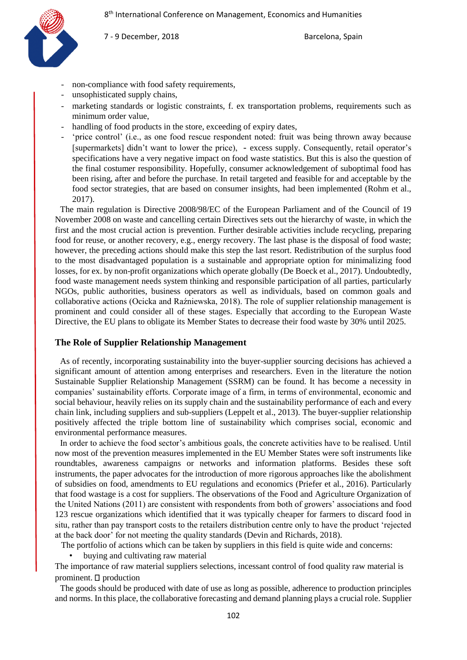

- non-compliance with food safety requirements,
- unsophisticated supply chains,
- marketing standards or logistic constraints, f. ex transportation problems, requirements such as minimum order value,
- handling of food products in the store, exceeding of expiry dates,
- 'price control' (i.e., as one food rescue respondent noted: fruit was being thrown away because [supermarkets] didn't want to lower the price), - excess supply. Consequently, retail operator's specifications have a very negative impact on food waste statistics. But this is also the question of the final costumer responsibility. Hopefully, consumer acknowledgement of suboptimal food has been rising, after and before the purchase. In retail targeted and feasible for and acceptable by the food sector strategies, that are based on consumer insights, had been implemented (Rohm et al., 2017).

The main regulation is Directive 2008/98/EC of the European Parliament and of the Council of 19 November 2008 on waste and cancelling certain Directives sets out the hierarchy of waste, in which the first and the most crucial action is prevention. Further desirable activities include recycling, preparing food for reuse, or another recovery, e.g., energy recovery. The last phase is the disposal of food waste; however, the preceding actions should make this step the last resort. Redistribution of the surplus food to the most disadvantaged population is a sustainable and appropriate option for minimalizing food losses, for ex. by non-profit organizations which operate globally (De Boeck et al., 2017). Undoubtedly, food waste management needs system thinking and responsible participation of all parties, particularly NGOs, public authorities, business operators as well as individuals, based on common goals and collaborative actions (Ocicka and Raźniewska, 2018). The role of supplier relationship management is prominent and could consider all of these stages. Especially that according to the European Waste Directive, the EU plans to obligate its Member States to decrease their food waste by 30% until 2025.

#### **The Role of Supplier Relationship Management**

As of recently, incorporating sustainability into the buyer-supplier sourcing decisions has achieved a significant amount of attention among enterprises and researchers. Even in the literature the notion Sustainable Supplier Relationship Management (SSRM) can be found. It has become a necessity in companies' sustainability efforts. Corporate image of a firm, in terms of environmental, economic and social behaviour, heavily relies on its supply chain and the sustainability performance of each and every chain link, including suppliers and sub-suppliers (Leppelt et al., 2013). The buyer-supplier relationship positively affected the triple bottom line of sustainability which comprises social, economic and environmental performance measures.

In order to achieve the food sector's ambitious goals, the concrete activities have to be realised. Until now most of the prevention measures implemented in the EU Member States were soft instruments like roundtables, awareness campaigns or networks and information platforms. Besides these soft instruments, the paper advocates for the introduction of more rigorous approaches like the abolishment of subsidies on food, amendments to EU regulations and economics (Priefer et al., 2016). Particularly that food wastage is a cost for suppliers. The observations of the Food and Agriculture Organization of the United Nations (2011) are consistent with respondents from both of growers' associations and food 123 rescue organizations which identified that it was typically cheaper for farmers to discard food in situ, rather than pay transport costs to the retailers distribution centre only to have the product 'rejected at the back door' for not meeting the quality standards (Devin and Richards, 2018).

The portfolio of actions which can be taken by suppliers in this field is quite wide and concerns:

• buying and cultivating raw material

The importance of raw material suppliers selections, incessant control of food quality raw material is prominent.  $\square$  production

The goods should be produced with date of use as long as possible, adherence to production principles and norms. In this place, the collaborative forecasting and demand planning plays a crucial role. Supplier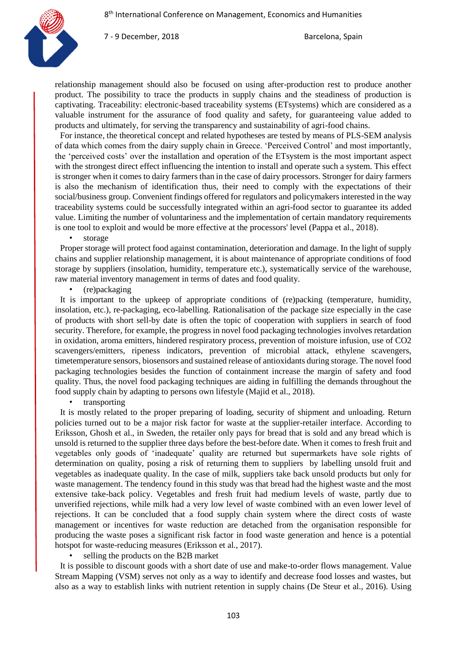

relationship management should also be focused on using after-production rest to produce another product. The possibility to trace the products in supply chains and the steadiness of production is captivating. Traceability: electronic-based traceability systems (ETsystems) which are considered as a valuable instrument for the assurance of food quality and safety, for guaranteeing value added to products and ultimately, for serving the transparency and sustainability of agri-food chains.

For instance, the theoretical concept and related hypotheses are tested by means of PLS-SEM analysis of data which comes from the dairy supply chain in Greece. 'Perceived Control' and most importantly, the 'perceived costs' over the installation and operation of the ETsystem is the most important aspect with the strongest direct effect influencing the intention to install and operate such a system. This effect is stronger when it comes to dairy farmers than in the case of dairy processors. Stronger for dairy farmers is also the mechanism of identification thus, their need to comply with the expectations of their social/business group. Convenient findings offered for regulators and policymakers interested in the way traceability systems could be successfully integrated within an agri-food sector to guarantee its added value. Limiting the number of voluntariness and the implementation of certain mandatory requirements is one tool to exploit and would be more effective at the processors' level (Pappa et al., 2018).

storage

Proper storage will protect food against contamination, deterioration and damage. In the light of supply chains and supplier relationship management, it is about maintenance of appropriate conditions of food storage by suppliers (insolation, humidity, temperature etc.), systematically service of the warehouse, raw material inventory management in terms of dates and food quality.

• (re)packaging

It is important to the upkeep of appropriate conditions of (re)packing (temperature, humidity, insolation, etc.), re-packaging, eco-labelling. Rationalisation of the package size especially in the case of products with short sell-by date is often the topic of cooperation with suppliers in search of food security. Therefore, for example, the progress in novel food packaging technologies involves retardation in oxidation, aroma emitters, hindered respiratory process, prevention of moisture infusion, use of CO2 scavengers/emitters, ripeness indicators, prevention of microbial attack, ethylene scavengers, timetemperature sensors, biosensors and sustained release of antioxidants during storage. The novel food packaging technologies besides the function of containment increase the margin of safety and food quality. Thus, the novel food packaging techniques are aiding in fulfilling the demands throughout the food supply chain by adapting to persons own lifestyle (Majid et al., 2018).

• transporting

It is mostly related to the proper preparing of loading, security of shipment and unloading. Return policies turned out to be a major risk factor for waste at the supplier-retailer interface. According to Eriksson, Ghosh et al., in Sweden, the retailer only pays for bread that is sold and any bread which is unsold is returned to the supplier three days before the best-before date. When it comes to fresh fruit and vegetables only goods of 'inadequate' quality are returned but supermarkets have sole rights of determination on quality, posing a risk of returning them to suppliers by labelling unsold fruit and vegetables as inadequate quality. In the case of milk, suppliers take back unsold products but only for waste management. The tendency found in this study was that bread had the highest waste and the most extensive take-back policy. Vegetables and fresh fruit had medium levels of waste, partly due to unverified rejections, while milk had a very low level of waste combined with an even lower level of rejections. It can be concluded that a food supply chain system where the direct costs of waste management or incentives for waste reduction are detached from the organisation responsible for producing the waste poses a significant risk factor in food waste generation and hence is a potential hotspot for waste-reducing measures (Eriksson et al., 2017).

• selling the products on the B2B market

It is possible to discount goods with a short date of use and make-to-order flows management. Value Stream Mapping (VSM) serves not only as a way to identify and decrease food losses and wastes, but also as a way to establish links with nutrient retention in supply chains (De Steur et al., 2016). Using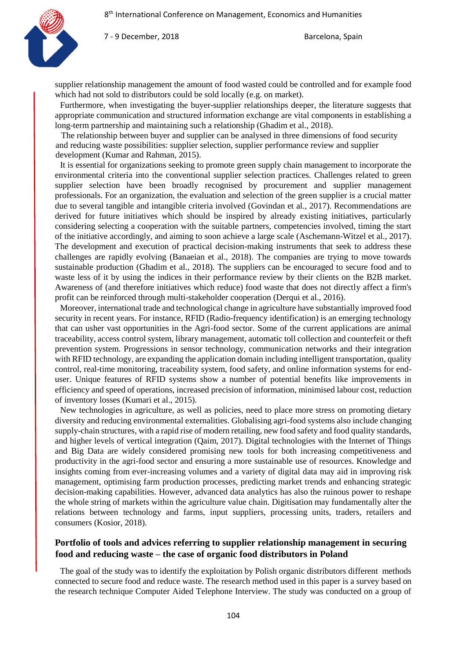

supplier relationship management the amount of food wasted could be controlled and for example food which had not sold to distributors could be sold locally (e.g. on market).

Furthermore, when investigating the buyer-supplier relationships deeper, the literature suggests that appropriate communication and structured information exchange are vital components in establishing a long-term partnership and maintaining such a relationship (Ghadim et al., 2018).

The relationship between buyer and supplier can be analysed in three dimensions of food security and reducing waste possibilities: supplier selection, supplier performance review and supplier development (Kumar and Rahman, 2015).

It is essential for organizations seeking to promote green supply chain management to incorporate the environmental criteria into the conventional supplier selection practices. Challenges related to green supplier selection have been broadly recognised by procurement and supplier management professionals. For an organization, the evaluation and selection of the green supplier is a crucial matter due to several tangible and intangible criteria involved (Govindan et al., 2017). Recommendations are derived for future initiatives which should be inspired by already existing initiatives, particularly considering selecting a cooperation with the suitable partners, competencies involved, timing the start of the initiative accordingly, and aiming to soon achieve a large scale (Aschemann-Witzel et al., 2017). The development and execution of practical decision-making instruments that seek to address these challenges are rapidly evolving (Banaeian et al., 2018). The companies are trying to move towards sustainable production (Ghadim et al., 2018). The suppliers can be encouraged to secure food and to waste less of it by using the indices in their performance review by their clients on the B2B market. Awareness of (and therefore initiatives which reduce) food waste that does not directly affect a firm's profit can be reinforced through multi-stakeholder cooperation (Derqui et al., 2016).

Moreover, international trade and technological change in agriculture have substantially improved food security in recent years. For instance, RFID (Radio-frequency identification) is an emerging technology that can usher vast opportunities in the Agri-food sector. Some of the current applications are animal traceability, access control system, library management, automatic toll collection and counterfeit or theft prevention system. Progressions in sensor technology, communication networks and their integration with RFID technology, are expanding the application domain including intelligent transportation, quality control, real-time monitoring, traceability system, food safety, and online information systems for enduser. Unique features of RFID systems show a number of potential benefits like improvements in efficiency and speed of operations, increased precision of information, minimised labour cost, reduction of inventory losses (Kumari et al., 2015).

New technologies in agriculture, as well as policies, need to place more stress on promoting dietary diversity and reducing environmental externalities. Globalising agri-food systems also include changing supply-chain structures, with a rapid rise of modern retailing, new food safety and food quality standards, and higher levels of vertical integration (Qaim, 2017). Digital technologies with the Internet of Things and Big Data are widely considered promising new tools for both increasing competitiveness and productivity in the agri-food sector and ensuring a more sustainable use of resources. Knowledge and insights coming from ever-increasing volumes and a variety of digital data may aid in improving risk management, optimising farm production processes, predicting market trends and enhancing strategic decision-making capabilities. However, advanced data analytics has also the ruinous power to reshape the whole string of markets within the agriculture value chain. Digitisation may fundamentally alter the relations between technology and farms, input suppliers, processing units, traders, retailers and consumers (Kosior, 2018).

## **Portfolio of tools and advices referring to supplier relationship management in securing food and reducing waste – the case of organic food distributors in Poland**

The goal of the study was to identify the exploitation by Polish organic distributors different methods connected to secure food and reduce waste. The research method used in this paper is a survey based on the research technique Computer Aided Telephone Interview. The study was conducted on a group of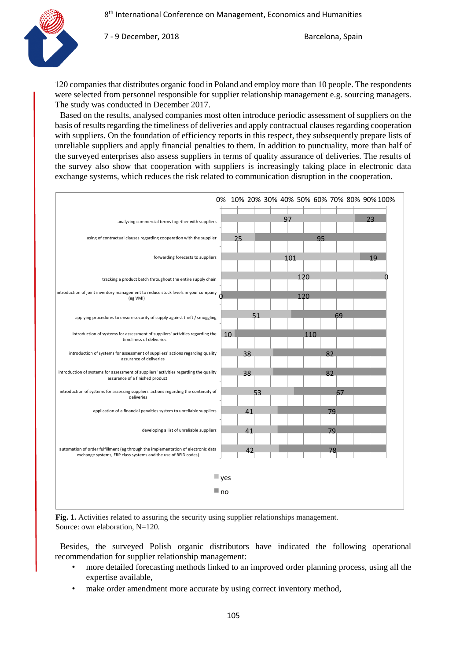

120 companies that distributes organic food in Poland and employ more than 10 people. The respondents were selected from personnel responsible for supplier relationship management e.g. sourcing managers. The study was conducted in December 2017.

Based on the results, analysed companies most often introduce periodic assessment of suppliers on the basis of results regarding the timeliness of deliveries and apply contractual clauses regarding cooperation with suppliers. On the foundation of efficiency reports in this respect, they subsequently prepare lists of unreliable suppliers and apply financial penalties to them. In addition to punctuality, more than half of the surveyed enterprises also assess suppliers in terms of quality assurance of deliveries. The results of the survey also show that cooperation with suppliers is increasingly taking place in electronic data exchange systems, which reduces the risk related to communication disruption in the cooperation.



**Fig. 1.** Activities related to assuring the security using supplier relationships management. Source: own elaboration, N=120.

Besides, the surveyed Polish organic distributors have indicated the following operational recommendation for supplier relationship management:

- more detailed forecasting methods linked to an improved order planning process, using all the expertise available,
- make order amendment more accurate by using correct inventory method,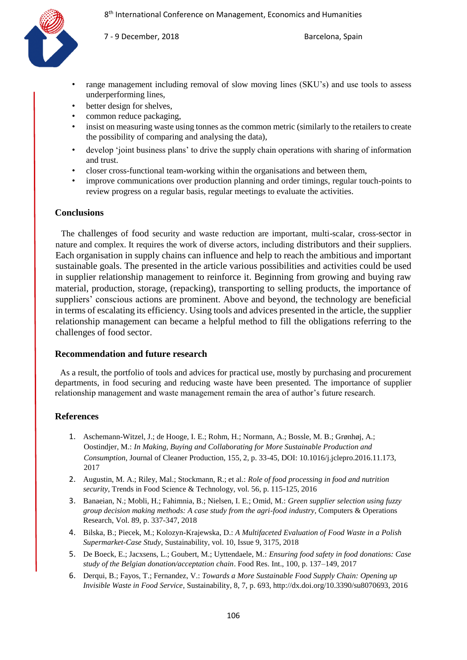

- range management including removal of slow moving lines (SKU's) and use tools to assess underperforming lines,
- better design for shelves,
- common reduce packaging,
- insist on measuring waste using tonnes as the common metric (similarly to the retailers to create the possibility of comparing and analysing the data),
- develop 'joint business plans' to drive the supply chain operations with sharing of information and trust.
- closer cross-functional team-working within the organisations and between them,
- improve communications over production planning and order timings, regular touch-points to review progress on a regular basis, regular meetings to evaluate the activities.

### **Conclusions**

The challenges of food security and waste reduction are important, multi-scalar, cross-sector in nature and complex. It requires the work of diverse actors, including distributors and their suppliers. Each organisation in supply chains can influence and help to reach the ambitious and important sustainable goals. The presented in the article various possibilities and activities could be used in supplier relationship management to reinforce it. Beginning from growing and buying raw material, production, storage, (repacking), transporting to selling products, the importance of suppliers' conscious actions are prominent. Above and beyond, the technology are beneficial in terms of escalating its efficiency. Using tools and advices presented in the article, the supplier relationship management can became a helpful method to fill the obligations referring to the challenges of food sector.

#### **Recommendation and future research**

As a result, the portfolio of tools and advices for practical use, mostly by purchasing and procurement departments, in food securing and reducing waste have been presented. The importance of supplier relationship management and waste management remain the area of author's future research.

## **References**

- 1. Aschemann-Witzel, J.; de Hooge, I. E.; Rohm, H.; Normann, A.; Bossle, M. B.; Grønhøj, A.; Oostindjer, M.: *In Making, Buying and Collaborating for More Sustainable Production and Consumption*, Journal of Cleaner Production, 155, 2, p. 33-45, DOI: 10.1016/j.jclepro.2016.11.173, 2017
- 2. Augustin, M. A.; Riley, Mal.; Stockmann, R.; et al.: *[Role of food processing in food and nutrition](http://apps-1webofknowledge-1com-1005042iu31c3.han3.lib.uni.lodz.pl/full_record.do?product=WOS&search_mode=GeneralSearch&qid=8&SID=E1lvlXU2GlEAY2Fztl6&page=5&doc=47)  [security](http://apps-1webofknowledge-1com-1005042iu31c3.han3.lib.uni.lodz.pl/full_record.do?product=WOS&search_mode=GeneralSearch&qid=8&SID=E1lvlXU2GlEAY2Fztl6&page=5&doc=47)*, Trends in Food Science & Technology, vol. 56, p. 115-125, 2016
- 3. Banaeian, N.; Mobli, H.; Fahimnia, B.; Nielsen, I. E.; Omid, M.: *Green supplier selection using fuzzy group decision making methods: A case study from the agri-food industry,* Computers & Operations Research[, Vol. 89,](https://www.sciencedirect.com/science/journal/03050548/89/supp/C) p. 337-347, 2018
- 4. Bilska, B.; Piecek, M.; Kolozyn-Krajewska, D.: *A Multifaceted Evaluation of Food Waste in a Polish Supermarket-Case Study*, Sustainability, vol. 10, Issue 9, 3175, 2018
- 5. De Boeck, E.; Jacxsens, L.; Goubert, M.; Uyttendaele, M.: *Ensuring food safety in food donations: Case study of the Belgian donation/acceptation chain*. Food Res. Int., 100, p. 137–149, 2017
- 6. Derqui, B.; Fayos, T.; Fernandez, V.: *Towards a More Sustainable Food Supply Chain: Opening up Invisible Waste in Food Service*, Sustainability, 8, 7, p. 693, http://dx.doi.org/10.3390/su8070693, 2016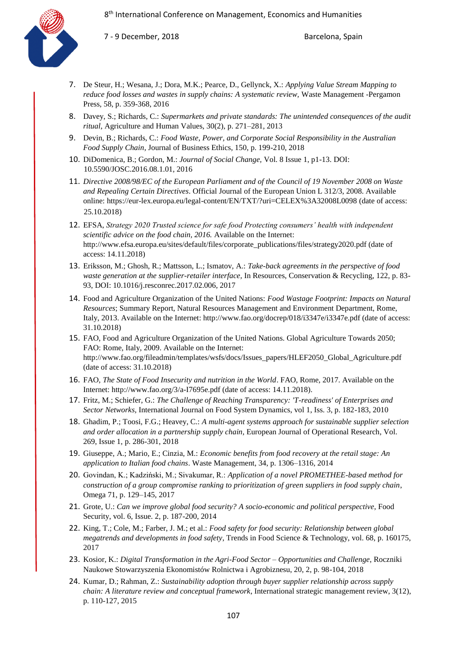

- 7. De Steur, H.; Wesana, J.; Dora, M.K.; Pearce, D., Gellynck, X.: *Applying Value Stream Mapping to reduce food losses and wastes in supply chains: A systematic review,* Waste Management -Pergamon Press, 58, p. 359-368, 2016
- 8. Davey, S.; Richards, C.: *Supermarkets and private standards: The unintended consequences of the audit ritual*, Agriculture and Human Values, 30(2), p. 271–281, 2013
- 9. Devin, B.; Richards, C.: *Food Waste*, *Power, and Corporate Social Responsibility in the Australian Food Supply Chain*, Journal of Business Ethics, 150, p. 199-210, 2018
- 10. DiDomenica, B.; Gordon, M.: *Journal of Social Change,* Vol. 8 Issue 1, p1-13. DOI: 10.5590/JOSC.2016.08.1.01, 2016
- 11. *Directive 2008/98/EC of the European Parliament and of the Council of 19 November 2008 on Waste and Repealing Certain Directives*. Official Journal of the European Union L 312/3, 2008. Available online: <https://eur-lex.europa.eu/legal-content/EN/TXT/?uri=CELEX%3A32008L0098> (date of access: 25.10.2018)
- 12. EFSA, *Strategy 2020 Trusted science for safe food Protecting consumers' health with independent scientific advice on the food chain, 2016.* Available on the Internet: http://www.efsa.europa.eu/sites/default/files/corporate\_publications/files/strategy2020.pdf (date of access: 14.11.2018)
- 13. Eriksson, M.; Ghosh, R.; Mattsson, L.; Ismatov, A.: *Take-back agreements in the perspective of food waste generation at the supplier-retailer interface,* In Resources, Conservation & Recycling, 122, p. 83- 93, DOI: 10.1016/j.resconrec.2017.02.006, 2017
- 14. Food and Agriculture Organization of the United Nations: *Food Wastage Footprint: Impacts on Natural Resources*; Summary Report, Natural Resources Management and Environment Department, Rome, Italy, 2013. Available on the Internet: http://www.fao.org/docrep/018/i3347e/i3347e.pdf (date of access: 31.10.2018)
- 15. FAO, Food and Agriculture Organization of the United Nations. Global Agriculture Towards 2050; FAO: Rome, Italy, 2009. Available on the Internet: http://www.fao.org/fileadmin/templates/wsfs/docs/Issues\_papers/HLEF2050\_Global\_Agriculture.pdf (date of access: 31.10.2018)
- 16. FAO, *The State of Food Insecurity and nutrition in the World*. FAO, Rome, 2017. Available on the Internet: http://www.fao.org/3/a-I7695e.pdf (date of access: 14.11.2018).
- 17. Fritz, M.; Schiefer, G.: *The Challenge of Reaching Transparency: 'T-readiness' of Enterprises and Sector Networks,* International Journal on Food System Dynamics, vol 1, Iss. 3, p. 182-183, 2010
- 18. Ghadim, P.; Toosi, F.G.; Heavey, C.: *A multi-agent systems approach for sustainable supplier selection and order allocation in a partnership supply chain*, [European Journal of Operational Research,](https://www.sciencedirect.com/science/journal/03772217) [Vol.](https://www.sciencedirect.com/science/journal/03772217/269/1)  [269, Issue 1,](https://www.sciencedirect.com/science/journal/03772217/269/1) p. 286-301, 2018
- 19. Giuseppe, A.; Mario, E.; Cinzia, M.: *Economic benefits from food recovery at the retail stage: An application to Italian food chains*. Waste Management, 34, p. 1306–1316, 2014
- 20. Govindan, K.; Kadziński, M.; Sivakumar, R.: *Application of a novel PROMETHEE-based method for construction of a group compromise ranking to prioritization of green suppliers in food supply chain*, Omega 71, p. 129–145, 2017
- 21. Grote, U.: *Can we improve global food security? A socio-economic and political perspective*, Food Security, vol. 6, Issue. 2, p. 187-200, 2014
- 22. King, T.; Cole, M.; Farber, J. M.; et al.: *Food safety for food security: Relationship between global megatrends and developments in food safety*, Trends in Food Science & Technology, vol. 68, p. 160175, 2017
- 23. Kosior, K.: *Digital Transformation in the Agri-Food Sector – Opportunities and Challenge*, Roczniki Naukowe Stowarzyszenia Ekonomistów Rolnictwa i Agrobiznesu, 20, 2, p. 98-104, 2018
- 24. Kumar, D.; Rahman, Z.: *Sustainability adoption through buyer supplier relationship across supply chain: A literature review and conceptual framework*, International strategic management review, 3(12), p. 110-127, 2015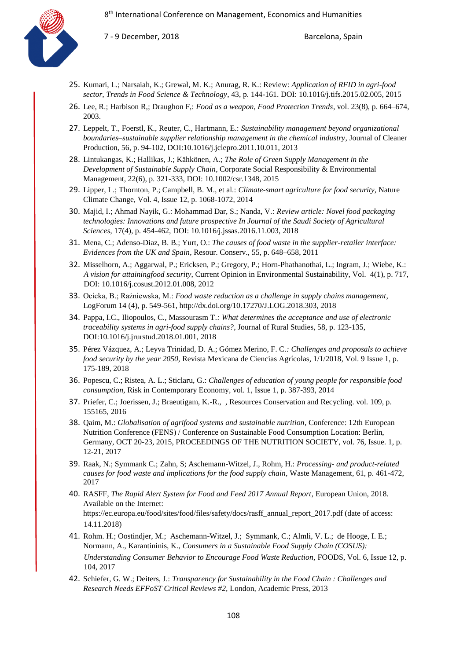

- 25. Kumari, L.; Narsaiah, K.; Grewal, M. K.; Anurag, R. K.: Review: *Application of RFID in agri-food sector, Trends in Food Science & Technology*, 43, p. 144-161. DOI: 10.1016/j.tifs.2015.02.005, 2015
- 26. Lee, R.; Harbison R,; Draughon F,: *Food as a weapon, Food Protection Trends*, vol. 23(8), p. 664–674, 2003.
- 27. Leppelt, T., Foerstl, K., Reuter, C., Hartmann, E.: *Sustainability management beyond organizational boundaries–sustainable supplier relationship management in the chemical industry*, Journal of Cleaner Production, 56, p. 94-102, DOI:10.1016/j.jclepro.2011.10.011, 2013
- 28. Lintukangas, K.; Hallikas, J.; Kähkönen, A.; *The Role of Green Supply Management in the Development of Sustainable Supply Chain*, Corporate Social Responsibility & Environmental Management, 22(6), p. 321-333, DOI: 10.1002/csr.1348, 2015
- 29. Lipper, L.; Thornton, P.; Campbell, B. M., et al.: *Climate-smart agriculture for food security,* Nature Climate Change, Vol. 4, Issue 12, p. 1068-1072, 2014
- 30. Majid, I.; Ahmad Nayik, G.: Mohammad Dar, S.; Nanda, V.: *Review article: Novel food packaging technologies: Innovations and future prospective In Journal of the Saudi Society of Agricultural Sciences*, 17(4), p. 454-462, DOI: 10.1016/j.jssas.2016.11.003, 2018
- 31. Mena, C.; Adenso-Diaz, B. B.; Yurt, O.: *The causes of food waste in the supplier-retailer interface: Evidences from the UK and Spain*, Resour. Conserv., 55, p. 648–658, 2011
- 32. Misselhorn, A.; Aggarwal, P.; Ericksen, P.; Gregory, P.; Horn-Phathanothai, L.; Ingram, J.; Wiebe, K.: *A vision for attainingfood security*, Current Opinion in Environmental Sustainability, Vol. 4(1), p. 717, DOI: 10.1016/j.cosust.2012.01.008, 2012
- 33. Ocicka, B.; Raźniewska, M.: *Food waste reduction as a challenge in supply chains management*, LogForum 14 (4), p. 549-561, http://dx.doi.org/10.17270/J.LOG.2018.303, 2018
- 34. Pappa, I.C., Iliopoulos, C., Massourasm T*.: What determines the acceptance and use of electronic traceability systems in agri-food supply chains?*, Journal of Rural Studies, 58, p. 123-135, DOI:10.1016/j.jrurstud.2018.01.001, 2018
- 35. Pérez Vázquez, A.; Leyva Trinidad, D. A.; Gómez Merino, F. C.*: Challenges and proposals to achieve food security by the year 2050,* Revista Mexicana de Ciencias Agrícolas*,* 1/1/2018, Vol. 9 Issue 1, p. 175-189, 2018
- 36. Popescu, C.; Ristea, A. L.; Sticlaru, G.: *Challenges of education of young people for responsible food consumption,* Risk in Contemporary Economy*,* vol. 1, Issue 1, p. 387-393, 2014
- 37. Priefer, C.; Joerissen, J.; Braeutigam, K.-R., , Resources Conservation and Recycling. vol. 109, p. 155165, 2016
- 38. Qaim, M.: *Globalisation of agrifood systems and sustainable nutrition*, Conference: 12th European Nutrition Conference (FENS) / Conference on Sustainable Food Consumption Location: Berlin, Germany, OCT 20-23, 2015, PROCEEDINGS OF THE NUTRITION SOCIETY, vol. 76, Issue. 1, p. 12-21, 2017
- 39. Raak, N.; Symmank C.; Zahn, S; Aschemann-Witzel, J., Rohm, H.: *Processing- and product-related causes for food waste and implications for the food supply chain,* Waste Management, 61, p. 461-472, 2017
- 40. RASFF, *The Rapid Alert System for Food and Feed 2017 Annual Report*, European Union, 2018. Available on the Internet: https://ec.europa.eu/food/sites/food/files/safety/docs/rasff\_annual\_report\_2017.pdf (date of access: 14.11.2018)
- 41. Rohm. H.; Oostindjer, M.; Aschemann-Witzel, J.; Symmank, C.; Almli, V. L.; de Hooge, I. E.; Normann, A., Karantininis, K., *Consumers in a Sustainable Food Supply Chain (COSUS): Understanding Consumer Behavior to Encourage Food Waste Reduction,* FOODS, Vol. 6, Issue 12, p. 104, 2017
- 42. Schiefer, G. W.; Deiters, J.: *Transparency for Sustainability in the Food Chain : Challenges and Research Needs EFFoST Critical Reviews #2,* London, Academic Press, 2013